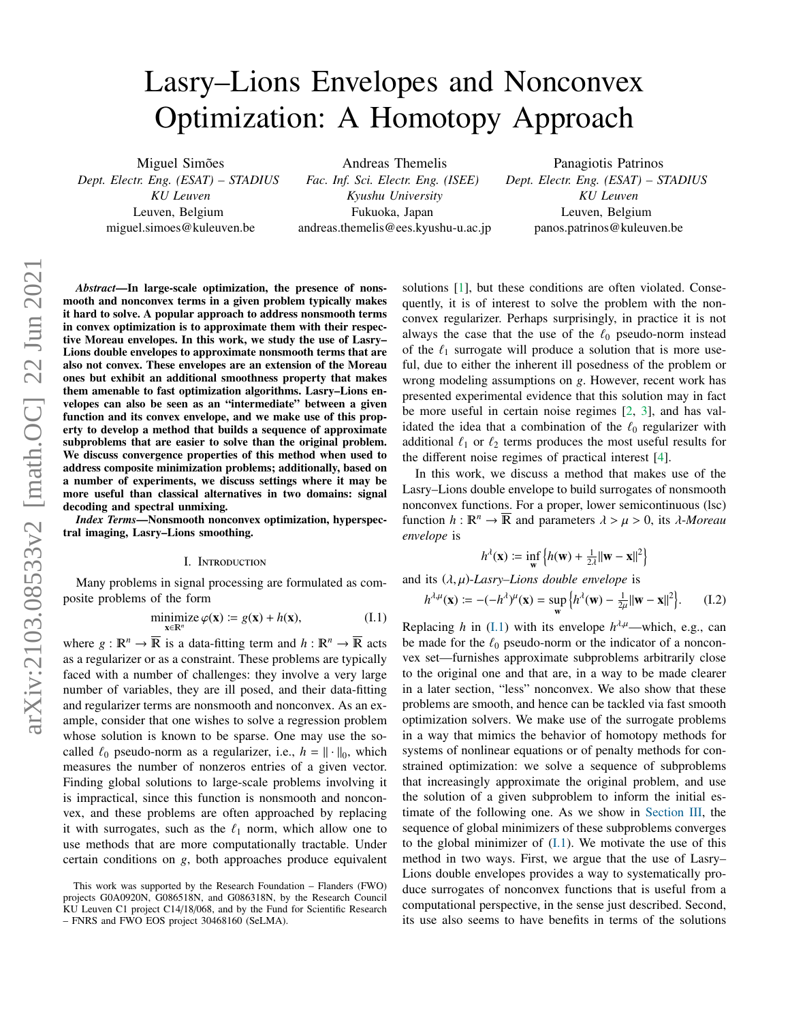# Lasry–Lions Envelopes and Nonconvex Optimization: A Homotopy Approach

Miguel Simões *Dept. Electr. Eng. (ESAT) – STADIUS KU Leuven* Leuven, Belgium miguel.simoes@kuleuven.be

Andreas Themelis *Fac. Inf. Sci. Electr. Eng. (ISEE) Kyushu University* Fukuoka, Japan andreas.themelis@ees.kyushu-u.ac.jp

Panagiotis Patrinos *Dept. Electr. Eng. (ESAT) – STADIUS KU Leuven* Leuven, Belgium panos.patrinos@kuleuven.be

*Abstract*—In large-scale optimization, the presence of nonsmooth and nonconvex terms in a given problem typically makes it hard to solve. A popular approach to address nonsmooth terms in convex optimization is to approximate them with their respective Moreau envelopes. In this work, we study the use of Lasry– Lions double envelopes to approximate nonsmooth terms that are also not convex. These envelopes are an extension of the Moreau ones but exhibit an additional smoothness property that makes them amenable to fast optimization algorithms. Lasry–Lions envelopes can also be seen as an "intermediate" between a given function and its convex envelope, and we make use of this property to develop a method that builds a sequence of approximate subproblems that are easier to solve than the original problem. We discuss convergence properties of this method when used to address composite minimization problems; additionally, based on a number of experiments, we discuss settings where it may be more useful than classical alternatives in two domains: signal decoding and spectral unmixing.

*Index Terms*—Nonsmooth nonconvex optimization, hyperspectral imaging, Lasry–Lions smoothing.

# I. Introduction

Many problems in signal processing are formulated as composite problems of the form

<span id="page-0-0"></span>
$$
\underset{\mathbf{x} \in \mathbb{R}^n}{\text{minimize}} \varphi(\mathbf{x}) \coloneqq g(\mathbf{x}) + h(\mathbf{x}),\tag{I.1}
$$

where  $g : \mathbb{R}^n \to \overline{\mathbb{R}}$  is a data-fitting term and  $h : \mathbb{R}^n \to \overline{\mathbb{R}}$  acts as a regularizer or as a constraint. These problems are typically faced with a number of challenges: they involve a very large number of variables, they are ill posed, and their data-fitting and regularizer terms are nonsmooth and nonconvex. As an example, consider that one wishes to solve a regression problem whose solution is known to be sparse. One may use the socalled  $\ell_0$  pseudo-norm as a regularizer, i.e.,  $h = || \cdot ||_0$ , which<br>measures the number of ponzeros entries of a given vector measures the number of nonzeros entries of a given vector. Finding global solutions to large-scale problems involving it is impractical, since this function is nonsmooth and nonconvex, and these problems are often approached by replacing it with surrogates, such as the  $\ell_1$  norm, which allow one to use methods that are more computationally tractable. Under certain conditions on *g*, both approaches produce equivalent

solutions [\[1\]](#page-4-0), but these conditions are often violated. Consequently, it is of interest to solve the problem with the nonconvex regularizer. Perhaps surprisingly, in practice it is not always the case that the use of the  $\ell_0$  pseudo-norm instead of the  $\ell_1$  surrogate will produce a solution that is more useful, due to either the inherent ill posedness of the problem or wrong modeling assumptions on *g*. However, recent work has presented experimental evidence that this solution may in fact be more useful in certain noise regimes [\[2,](#page-4-1) [3\]](#page-4-2), and has validated the idea that a combination of the  $\ell_0$  regularizer with additional  $\ell_1$  or  $\ell_2$  terms produces the most useful results for the different noise regimes of practical interest [\[4\]](#page-4-3).

In this work, we discuss a method that makes use of the Lasry–Lions double envelope to build surrogates of nonsmooth nonconvex functions. For a proper, lower semicontinuous (lsc) function  $h : \mathbb{R}^n \to \overline{\mathbb{R}}$  and parameters  $\lambda > \mu > 0$ , its  $\lambda$ -Moreau *envelope* is

<span id="page-0-1"></span>
$$
h^{\lambda}(\mathbf{x}) := \inf_{\mathbf{w}} \left\{ h(\mathbf{w}) + \frac{1}{2\lambda} ||\mathbf{w} - \mathbf{x}||^2 \right\}
$$

and its  $(\lambda, \mu)$ -Lasry–Lions double envelope is

$$
h^{\lambda,\mu}(\mathbf{x}) := -(-h^{\lambda})^{\mu}(\mathbf{x}) = \sup_{\mathbf{w}} \left\{ h^{\lambda}(\mathbf{w}) - \frac{1}{2\mu} ||\mathbf{w} - \mathbf{x}||^2 \right\}.
$$
 (I.2)

Replacing *h* in  $(I.1)$  with its envelope  $h^{\lambda,\mu}$ —which, e.g., can be made for the  $\ell_0$  pseudo-norm or the indicator of a nonconvex set—furnishes approximate subproblems arbitrarily close to the original one and that are, in a way to be made clearer in a later section, "less" nonconvex. We also show that these problems are smooth, and hence can be tackled via fast smooth optimization solvers. We make use of the surrogate problems in a way that mimics the behavior of homotopy methods for systems of nonlinear equations or of penalty methods for constrained optimization: we solve a sequence of subproblems that increasingly approximate the original problem, and use the solution of a given subproblem to inform the initial estimate of the following one. As we show in [Section III,](#page-2-0) the sequence of global minimizers of these subproblems converges to the global minimizer of  $(I,1)$ . We motivate the use of this method in two ways. First, we argue that the use of Lasry– Lions double envelopes provides a way to systematically produce surrogates of nonconvex functions that is useful from a computational perspective, in the sense just described. Second, its use also seems to have benefits in terms of the solutions

This work was supported by the Research Foundation – Flanders (FWO) projects G0A0920N, G086518N, and G086318N, by the Research Council KU Leuven C1 project C14/18/068, and by the Fund for Scientific Research – FNRS and FWO EOS project 30468160 (SeLMA).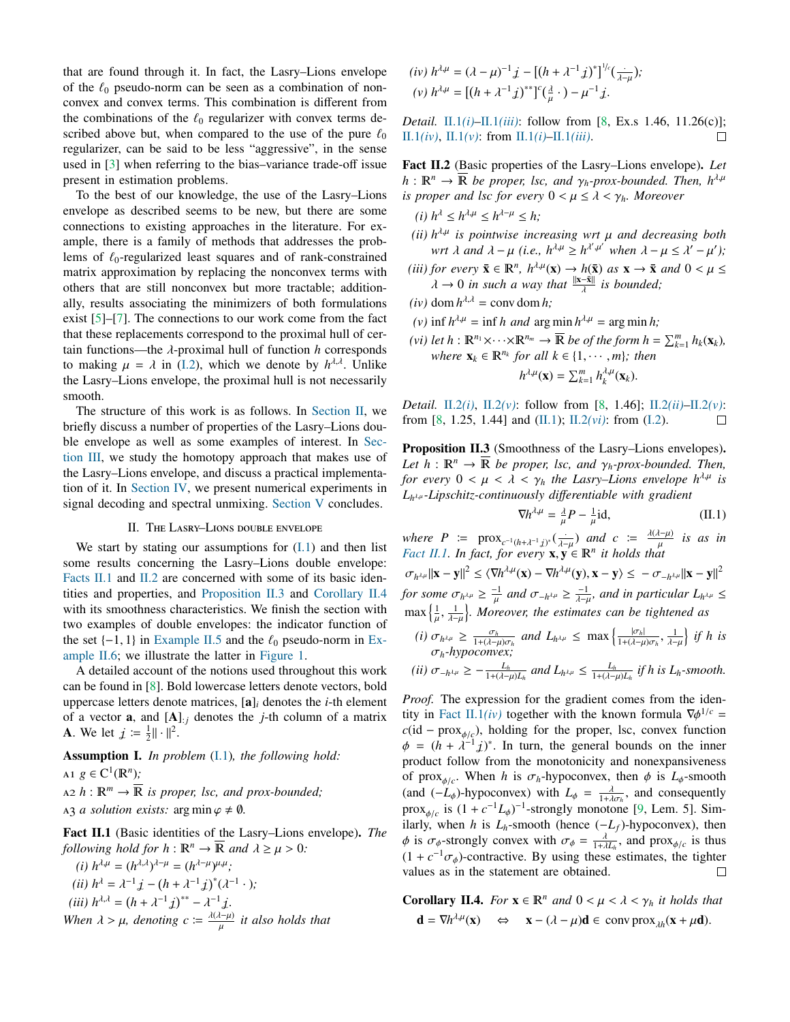that are found through it. In fact, the Lasry–Lions envelope of the  $\ell_0$  pseudo-norm can be seen as a combination of nonconvex and convex terms. This combination is different from the combinations of the  $\ell_0$  regularizer with convex terms described above but, when compared to the use of the pure  $\ell_0$ regularizer, can be said to be less "aggressive", in the sense used in [\[3\]](#page-4-2) when referring to the bias–variance trade-off issue present in estimation problems.

To the best of our knowledge, the use of the Lasry–Lions envelope as described seems to be new, but there are some connections to existing approaches in the literature. For example, there is a family of methods that addresses the problems of  $\ell_0$ -regularized least squares and of rank-constrained matrix approximation by replacing the nonconvex terms with others that are still nonconvex but more tractable; additionally, results associating the minimizers of both formulations exist  $[5]-[7]$  $[5]-[7]$  $[5]-[7]$ . The connections to our work come from the fact that these replacements correspond to the proximal hull of certain functions—the λ-proximal hull of function *<sup>h</sup>* corresponds to making  $\mu = \lambda$  in [\(I.2\)](#page-0-1), which we denote by  $h^{\lambda,\lambda}$ . Unlike the Lasry-Lions envelope the proximal bull is not pecessarily the Lasry–Lions envelope, the proximal hull is not necessarily smooth.

The structure of this work is as follows. In [Section II,](#page-1-0) we briefly discuss a number of properties of the Lasry–Lions double envelope as well as some examples of interest. In [Sec](#page-2-0)[tion III,](#page-2-0) we study the homotopy approach that makes use of the Lasry–Lions envelope, and discuss a practical implementation of it. In [Section IV,](#page-3-0) we present numerical experiments in signal decoding and spectral unmixing. [Section V](#page-4-6) concludes.

## II. The Lasry–Lions double envelope

<span id="page-1-0"></span>We start by stating our assumptions for  $(I,1)$  and then list some results concerning the Lasry–Lions double envelope: [Facts II.1](#page-1-1) and [II.2](#page-1-2) are concerned with some of its basic identities and properties, and [Proposition II.3](#page-1-3) and [Corollary II.4](#page-1-4) with its smoothness characteristics. We finish the section with two examples of double envelopes: the indicator function of the set  $\{-1, 1\}$  in [Example II.5](#page-2-1) and the  $\ell_0$  pseudo-norm in [Ex](#page-2-2)[ample II.6;](#page-2-2) we illustrate the latter in [Figure 1.](#page-2-3)

A detailed account of the notions used throughout this work can be found in [\[8\]](#page-4-7). Bold lowercase letters denote vectors, bold uppercase letters denote matrices, [a]*<sup>i</sup>* denotes the *i*-th element of a vector **a**, and  $[A]_{:j}$  denotes the *j*-th column of a matrix **A**. We let  $j := \frac{1}{2} || \cdot ||^2$ .

<span id="page-1-16"></span>Assumption I. *In problem* [\(I.1\)](#page-0-0)*, the following hold:*

<span id="page-1-15"></span> $A1 \ g \in C^1(\mathbb{R}^n);$  $A2$   $h: \mathbb{R}^m \to \overline{\mathbb{R}}$  *is proper, lsc, and prox-bounded*; A3 *a solution exists:*  $\arg \min \varphi \neq \emptyset$ .

<span id="page-1-1"></span>Fact II.1 (Basic identities of the Lasry–Lions envelope). *The following hold for*  $h : \mathbb{R}^n \to \mathbb{R}$  and  $\lambda \geq \mu > 0$ *:* 

<span id="page-1-14"></span><span id="page-1-6"></span><span id="page-1-5"></span>(i) 
$$
h^{\lambda,\mu} = (h^{\lambda,\lambda})^{\lambda-\mu} = (h^{\lambda-\mu})^{\mu,\mu}
$$
;  
\n(ii)  $h^{\lambda} = \lambda^{-1} \mathbf{j} - (h + \lambda^{-1} \mathbf{j})^*(\lambda^{-1} \cdot)$ ;  
\n(iii)  $h^{\lambda,\lambda} = (h + \lambda^{-1} \mathbf{j})^{**} - \lambda^{-1} \mathbf{j}$ .  
\nWhen  $\lambda > \mu$ , denoting  $c := \frac{\lambda(\lambda-\mu)}{\mu}$  it also holds that

<span id="page-1-8"></span><span id="page-1-7"></span>
$$
(iv) \ h^{\lambda,\mu} = (\lambda - \mu)^{-1} \, j - \left[ (h + \lambda^{-1} \, j)^* \right]^{1/c} \left( \frac{\cdot}{\lambda - \mu} \right);
$$
\n
$$
(v) \ h^{\lambda,\mu} = \left[ (h + \lambda^{-1} \, j)^{**} \right]^{c} \left( \frac{\lambda}{\mu} \cdot \right) - \mu^{-1} \, j.
$$

*Detail.* [II.1](#page-1-5)*(i)*[–II.1](#page-1-6)*(iii)*: follow from [\[8,](#page-4-7) Ex.s 1.46, 11.26(c)]; [II.1](#page-1-7)*(iv)*, [II.1](#page-1-8)*(v)*: from [II.1](#page-1-5)*(i)*–II.1*[\(iii\)](#page-1-6)*.  $\Box$ 

<span id="page-1-2"></span>Fact II.2 (Basic properties of the Lasry–Lions envelope). *Let*  $h: \mathbb{R}^n \to \mathbb{R}$  be proper, lsc, and  $\gamma_h$ -prox-bounded. Then,  $h^{\lambda,\mu}$ *is proper and lsc for every*  $0 < \mu \leq \lambda < \gamma_h$ *. Moreover* 

- <span id="page-1-9"></span> $(h)$   $h^{\lambda} \leq h^{\lambda + \mu} \leq h^{\lambda - \mu} \leq h;$
- <span id="page-1-11"></span>(*ii*)  $h^{A,\mu}$  is pointwise increasing wrt  $\mu$  and decreasing both wrt  $\lambda$  and  $\lambda = \mu$  (*i.e.*  $h^{A,\mu} > h^{A',\mu'}$  when  $\lambda = \mu \le \lambda' = \mu'$ ); *wrt*  $\lambda$  *and*  $\lambda - \mu$  *(i.e., h*<sup> $\lambda \mu \ge h^{\lambda'} \mu'$  *when*  $\lambda - \mu \le \lambda' - \mu'$ );</sup>
- <span id="page-1-17"></span>(*iii*) *for every*  $\bar{\mathbf{x}} \in \mathbb{R}^n$ ,  $h^{\lambda,\mu}(\mathbf{x}) \to h(\bar{\mathbf{x}})$  *as*  $\mathbf{x} \to \bar{\mathbf{x}}$  *and*  $0 < \mu \leq$ <br>  $\lambda \to 0$  *in such a way that*  $\|\mathbf{x}-\bar{\mathbf{x}}\|$  *is hounded:*  $\lambda \to 0$  *in such a way that*  $\frac{\|\mathbf{x}-\bar{\mathbf{x}}\|}{\lambda}$  *is bounded;*
- $(iv)$  dom  $h^{\lambda,\lambda}$  = conv dom *h*;
- <span id="page-1-10"></span> $(v)$  inf  $h^{\lambda,\mu}$  = inf *h* and arg min  $h^{\lambda,\mu}$  = arg min *h*;
- <span id="page-1-12"></span>*(vi) let*  $h: \mathbb{R}^{n_1} \times \cdots \times \mathbb{R}^{n_m} \to \overline{\mathbb{R}}$  *be of the form*  $h = \sum_{k=1}^m h_k(\mathbf{x}_k)$ *, where*  $\mathbf{x}_k \in \mathbb{R}^{n_k}$  *for all*  $k \in \{1, \dots, m\}$ *; then*  $h^{\lambda,\mu}(\mathbf{x}) = \sum_{k=1}^m h_k^{\lambda,\mu}(\mathbf{x}_k).$

*Detail.* [II.2](#page-1-9)*(i)*, [II.2](#page-1-10)*(v)*: follow from [\[8,](#page-4-7) 1.46]; [II.2](#page-1-11)*(ii)*[–II.2](#page-1-10)*(v)*: from [\[8,](#page-4-7) 1.25, 1.44] and [\(II.1\)](#page-1-1); [II.2](#page-1-12)*(vi)*: from [\(I.2\)](#page-0-1).  $\Box$ 

<span id="page-1-3"></span>Proposition II.3 (Smoothness of the Lasry–Lions envelopes). *Let*  $h : \mathbb{R}^n \to \mathbb{R}$  *be proper, lsc, and*  $\gamma_h$ *-prox-bounded. Then, for every*  $0 < \mu < \lambda < \gamma_h$  *the Lasry–Lions envelope*  $h^{\lambda,\mu}$  *is Lh* λ,µ *-Lipschitz-continuously di*ff*erentiable with gradient*

<span id="page-1-13"></span>
$$
\nabla h^{\lambda,\mu} = \frac{\lambda}{\mu} P - \frac{1}{\mu} \text{id},\tag{II.1}
$$

*where*  $P := \text{prox}_{c^{-1}(h+\lambda^{-1}j)^s}(\frac{1}{\lambda-\mu})$  *and*  $c := \frac{\lambda(\lambda-\mu)}{\mu}$ <br>Fact II I In fact for every  $\mathbf{x} \times \mathbf{F} \in \mathbb{R}^n$  it holds that µ *is as in [Fact II.1.](#page-1-1) In fact, for every*  $\mathbf{x}, \mathbf{y} \in \mathbb{R}^n$  *it holds that* 

σ*h*  $\|\mathbf{x} - \mathbf{y}\|^2 \le \langle \nabla h^{\lambda, \mu}(\mathbf{x}) - \nabla h^{\lambda, \mu}(\mathbf{y}), \mathbf{x} - \mathbf{y} \rangle \le -\sigma_{-h^{\lambda, \mu}} \|\mathbf{x} - \mathbf{y}\|^2$ *for some*  $\sigma_{h^{\lambda,\mu}} \ge \frac{-1}{\mu}$  and  $\sigma_{-h^{\lambda,\mu}} \ge \frac{-1}{\lambda-\mu}$ , and in particular  $L_{h^{\lambda,\mu}} \le$  $\max\left\{\frac{1}{u},\frac{1}{u}-1\right\}$ . Mor  $\frac{1}{\lambda - \mu}$ o *. Moreover, the estimates can be tightened as*

(i) 
$$
\sigma_{h^{\lambda,\mu}} \ge \frac{\sigma_h}{1 + (\lambda - \mu)\sigma_h}
$$
 and  $L_{h^{\lambda,\mu}} \le \max\left\{\frac{|\sigma_h|}{1 + (\lambda - \mu)\sigma_h}, \frac{1}{\lambda - \mu}\right\}$  if h is   
\n $\sigma_h$ -hypoconvex;

$$
(ii) \sigma_{-h^{\lambda\mu}} \geq -\frac{L_h}{1+(\lambda-\mu)L_h} \text{ and } L_{h^{\lambda\mu}} \leq \frac{L_h}{1+(\lambda-\mu)L_h} \text{ if } h \text{ is } L_h\text{-smooth}.
$$

*Proof.* The expression for the gradient comes from the iden-tity in [Fact II.1](#page-1-7)*(iv)* together with the known formula  $\nabla \phi^{1/c} = c(\mathbf{id} - \mathbf{prox})$ , bolding for the proper lsc convex function  $c$ (id – prox<sub> $\phi/c$ </sub>), holding for the proper, lsc, convex function  $\phi = (h + \lambda^{-1} \vec{J})^*$ . In turn, the general bounds on the inner<br>
product follow from the monotonicity and nonexpansiveness product follow from the monotonicity and nonexpansiveness of prox<sub> $\phi/c$ </sub>. When *h* is  $\sigma_h$ -hypoconvex, then  $\phi$  is  $L_{\phi}$ -smooth (and  $(-L)$ ) hypoconvex) with  $L = \frac{\lambda}{2}$  and consequently (and  $(-L_{\phi})$ -hypoconvex) with  $L_{\phi} = \frac{\lambda}{1 + \lambda \sigma_h}$ , and consequently  $\text{prox}_{\phi/c}$  is  $(1 + c^{-1}L_{\phi})^{-1}$ -strongly monotone [\[9,](#page-4-8) Lem. 5]. Sim-<br>ilogly when h is *L*<sub>p</sub> amonth (hence (*L*<sub>p</sub>)</sub> hyperconversion  $\lim_{\phi \to c}$  is (1+*c*  $L_{\phi}$ ) -subsign monotone [*>*, Lem. *5*]. Similarly, when *h* is  $L_h$ -smooth (hence  $(-L_f)$ -hypoconvex), then  $\phi$  is  $\sigma_{\phi}$ -strongly convex with  $\sigma_{\phi} = \frac{\lambda}{1 + \lambda L_h}$ , and prox<sub> $\phi/c$ </sub> is thus  $(1 + c^{-1}\sigma_{\phi})$ -contractive. By using these estimates, the tighter values as in the statement are obtained values as in the statement are obtained.

<span id="page-1-4"></span>**Corollary II.4.** *For*  $\mathbf{x} \in \mathbb{R}^n$  *and*  $0 < \mu < \lambda < \gamma_h$  *it holds that*  $\mathbf{d} = \nabla h^{\lambda,\mu}(\mathbf{x}) \quad \Leftrightarrow \quad \mathbf{x} - (\lambda - \mu)\mathbf{d} \in \text{conv } \text{prox}_{\lambda h}(\mathbf{x} + \mu \mathbf{d}).$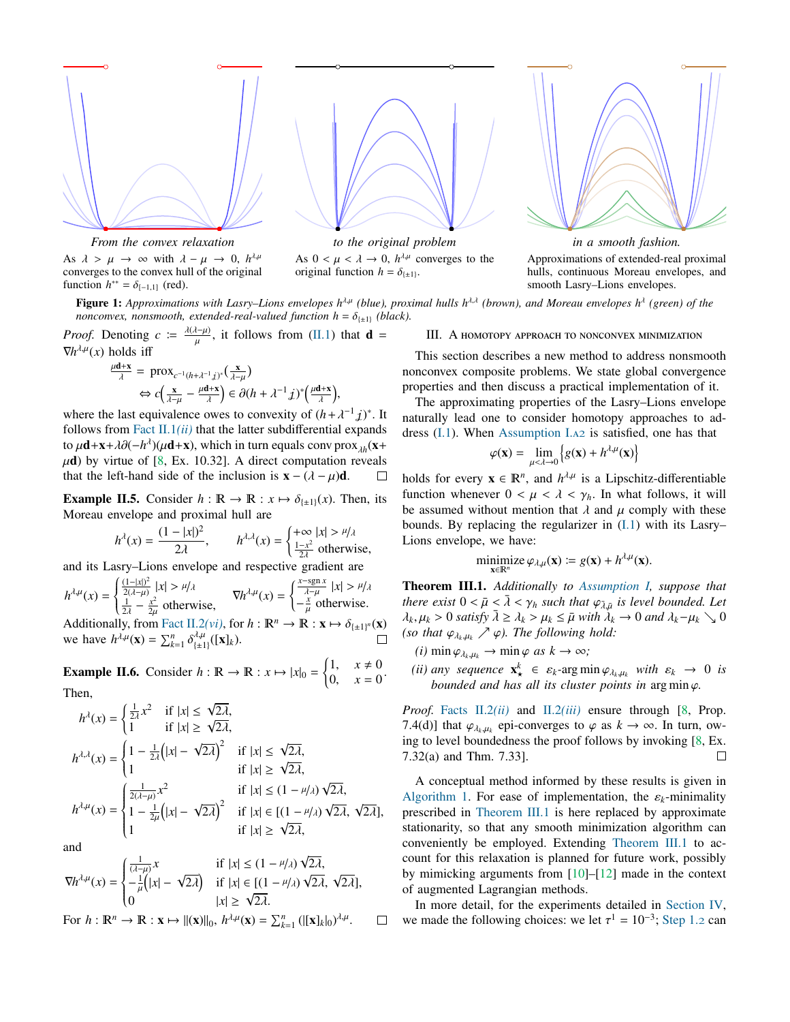<span id="page-2-3"></span>

As  $\lambda > \mu \rightarrow \infty$  with  $\lambda - \mu \rightarrow 0$ ,  $h^{\lambda,\mu}$ <br>converges to the convex hull of the original converges to the convex hull of the original function  $h^{**} = \delta_{[-1,1]}$  (red).



As  $0 < \mu < \lambda \rightarrow 0$ ,  $h^{\lambda\mu}$  converges to the original function  $h = \delta_{\lambda}$ . original function  $h = \delta_{\{\pm 1\}}$ .



**Figure 1:** Approximations with Lasry–Lions envelopes h<sup>λμ</sup> (blue), proximal hulls h<sup>λλ</sup> (brown), and Moreau envelopes h<sup>λ</sup> (green) of the *nonconvex, nonsmooth, extended-real-valued function h* =  $\delta_{\{\pm 1\}}$  *(black).* 

*Proof.* Denoting  $c := \frac{\lambda(\lambda - \mu)}{\mu}$  $\frac{d(-\mu)}{\mu}$ , it follows from [\(II.1\)](#page-1-13) that **d** =  $\nabla h^{\lambda,\mu}(x)$  holds iff

$$
\frac{\mu \mathbf{d} + \mathbf{x}}{\lambda} = \text{prox}_{c^{-1}(h + \lambda^{-1} \hat{\lambda})^*}(\frac{\mathbf{x}}{\lambda - \mu})
$$
  
\n
$$
\Leftrightarrow c\left(\frac{\mathbf{x}}{\lambda - \mu} - \frac{\mu \mathbf{d} + \mathbf{x}}{\lambda}\right) \in \partial (h + \lambda^{-1} \hat{\lambda})^* \left(\frac{\mu \mathbf{d} + \mathbf{x}}{\lambda}\right),
$$

where the last equivalence owes to convexity of  $(h + \lambda^{-1} \vec{j})^*$ . It follows from Eact II 1(*ii*) that the latter subdifferential expands follows from Fact  $II.1(ii)$  that the latter subdifferential expands to  $\mu$ **d**+x+ $\lambda \partial$ ( $-\hbar^{\lambda}$ )( $\mu$ **d**+x), which in turn equals conv prox<sub> $\lambda \hbar$ </sub>(x+ $\mu$ d) by virtue of [8, Ex, 10.32]. A direct computation reveals  $\mu$ **d**) by virtue of [\[8,](#page-4-7) Ex. 10.32]. A direct computation reveals that the left-hand side of the inclusion is  $\mathbf{x} - (\lambda - \mu)\mathbf{d}$ . that the left-hand side of the inclusion is  $\mathbf{x} - (\lambda - \mu)\mathbf{d}$ .

<span id="page-2-1"></span>**Example II.5.** Consider  $h : \mathbb{R} \to \mathbb{R} : x \mapsto \delta_{\{\pm 1\}}(x)$ . Then, its Moreau envelope and proximal hull are

$$
h^{\lambda}(x) = \frac{(1-|x|)^2}{2\lambda}, \qquad h^{\lambda,\lambda}(x) = \begin{cases} +\infty & |x| > \frac{\mu}{\lambda} \\ \frac{1-x^2}{2\lambda} & \text{otherwise} \end{cases}
$$

and its Lasry–Lions envelope and respective gradient are

$$
h^{\lambda,\mu}(x) = \begin{cases} \frac{(1-|x|)^2}{2(\lambda-\mu)} |x| > \mu/\lambda \\ \frac{1}{2\lambda} - \frac{x^2}{2\mu} \text{ otherwise,} \end{cases} \quad \nabla h^{\lambda,\mu}(x) = \begin{cases} \frac{x-\text{sgn } x}{\lambda-\mu} |x| > \mu/\lambda \\ -\frac{x}{\mu} \text{ otherwise.} \end{cases}
$$

Additionally, from [Fact II.2](#page-1-12)(*vi*), for  $h : \mathbb{R}^n \to \mathbb{R} : \mathbf{x} \mapsto \delta_{\{\pm 1\}^n}(\mathbf{x})$ <br>we have  $h^{\lambda,\mu}(\mathbf{x}) = \sum_{k=1}^n \delta_{\lambda,k}^{\lambda,\mu}(\mathbf{x})$ we have  $h^{\lambda,\mu}(\mathbf{x}) = \sum_{k=1}^{n} \delta_{\{\pm 1\}}^{\lambda,\mu}([\mathbf{x}]_k)$ .

<span id="page-2-2"></span>**Example II.6.** Consider  $h : \mathbb{R} \to \mathbb{R} : x \mapsto |x|_0 = \begin{cases} 1, & x \neq 0 \\ 0, & x = 0 \end{cases}$ 0,  $x = 0$ Then,

$$
h^{\lambda}(x) = \begin{cases} \frac{1}{2\lambda}x^2 & \text{if } |x| \le \sqrt{2\lambda}, \\ 1 & \text{if } |x| \ge \sqrt{2\lambda}, \end{cases}
$$
  
\n
$$
h^{\lambda,\lambda}(x) = \begin{cases} 1 - \frac{1}{2\lambda}(|x| - \sqrt{2\lambda})^2 & \text{if } |x| \le \sqrt{2\lambda}, \\ 1 & \text{if } |x| \ge \sqrt{2\lambda}, \end{cases}
$$
  
\n
$$
h^{\lambda,\mu}(x) = \begin{cases} \frac{1}{2(\lambda-\mu)}x^2 & \text{if } |x| \le (1-\mu/\lambda)\sqrt{2\lambda}, \\ 1 - \frac{1}{2\mu}(|x| - \sqrt{2\lambda})^2 & \text{if } |x| \in [(1-\mu/\lambda)\sqrt{2\lambda}, \sqrt{2\lambda}], \\ 1 & \text{if } |x| \ge \sqrt{2\lambda}, \end{cases}
$$

and

and  
\n
$$
\nabla h^{\lambda,\mu}(x) = \begin{cases}\n\frac{1}{(\lambda-\mu)}x & \text{if } |x| \le (1-\mu/\lambda)\sqrt{2\lambda}, \\
-\frac{1}{\mu}(|x|-\sqrt{2\lambda}) & \text{if } |x| \in [(1-\mu/\lambda)\sqrt{2\lambda}, \sqrt{2\lambda}], \\
0 & |x| \ge \sqrt{2\lambda}.\n\end{cases}
$$

For  $h: \mathbb{R}^n \to \mathbb{R}: \mathbf{x} \mapsto ||(\mathbf{x})||_0$ ,  $h^{\lambda,\mu}(\mathbf{x}) = \sum_{k=1}^n (||\mathbf{x}]_k|_0^{\lambda,\mu}$ .  $\Box$ 

<span id="page-2-0"></span>III. A homotopy approach to nonconvex minimization

This section describes a new method to address nonsmooth nonconvex composite problems. We state global convergence properties and then discuss a practical implementation of it.

The approximating properties of the Lasry–Lions envelope naturally lead one to consider homotopy approaches to address [\(I.1\)](#page-0-0). When [Assumption I.](#page-1-15)a2 is satisfied, one has that

$$
\varphi(\mathbf{x}) = \lim_{\mu < \lambda \to 0} \left\{ g(\mathbf{x}) + h^{\lambda \mu}(\mathbf{x}) \right\}
$$

holds for every  $\mathbf{x} \in \mathbb{R}^n$ , and  $h^{\lambda,\mu}$  is a Lipschitz-differentiable function whenever  $0 < \mu < \lambda < \gamma_h$ . In what follows, it will be assumed without mention that  $\lambda$  and  $\mu$  comply with these bounds. By replacing the regularizer in [\(I.1\)](#page-0-0) with its Lasry– Lions envelope, we have:

$$
\underset{\mathbf{x}\in\mathbb{R}^n}{\text{minimize}}\,\varphi_{\lambda,\mu}(\mathbf{x})\coloneqq g(\mathbf{x})+h^{\lambda,\mu}(\mathbf{x}).
$$

<span id="page-2-4"></span>Theorem III.1. *Additionally to [Assumption I,](#page-1-16) suppose that there exist*  $0 < \bar{\mu} < \bar{\lambda} < \gamma_h$  *such that*  $\varphi_{\bar{\lambda},\bar{\mu}}$  *is level bounded. Let*<br>*b*<sub>*i*</sub> *w* > 0 *satisfy*  $\bar{\lambda} > \lambda_l > u_l < \bar{\mu}$  *with*  $\lambda_l \to 0$  and  $\lambda_l = u_l > 0$  $\lambda_k, \mu_k > 0$  *satisfy*  $\bar{\lambda} \geq \lambda_k > \mu_k \leq \bar{\mu}$  *with*  $\lambda_k \to 0$  *and*  $\lambda_k - \mu_k \searrow 0$ *(so that*  $\varphi_{\lambda_k,\mu_k} \nearrow \varphi$ *). The following hold:* 

 $(i)$  min  $\varphi_{\lambda_k,\mu_k} \to \min \varphi$  *as*  $k \to \infty$ ;

*(ii) any* sequence  $\mathbf{x}_{\star}^{k} \in \varepsilon_{k}$ -arg min  $\varphi_{\lambda_{k},\mu_{k}}$  with  $\varepsilon_{k} \to 0$  *is* hounded and has all its cluster points in argumin  $\varphi$ *bounded and has all its cluster points in* arg min ϕ*.*

*Proof.* [Facts II.2](#page-1-11)*(ii)* and II.2*[\(iii\)](#page-1-17)* ensure through [\[8,](#page-4-7) Prop. 7.4(d)] that  $\varphi_{\lambda_k,\mu_k}$  epi-converges to  $\varphi$  as  $k \to \infty$ . In turn, ow-<br>ing to level boundedness the proof follows by invoking [8, Ex ing to level boundedness the proof follows by invoking [\[8,](#page-4-7) Ex. 7.32(a) and Thm. 7.33].  $\Box$ 

A conceptual method informed by these results is given in [Algorithm 1.](#page-3-1) For ease of implementation, the  $\varepsilon_k$ -minimality prescribed in [Theorem III.1](#page-2-4) is here replaced by approximate stationarity, so that any smooth minimization algorithm can conveniently be employed. Extending [Theorem III.1](#page-2-4) to account for this relaxation is planned for future work, possibly by mimicking arguments from [\[10\]](#page-4-9)–[\[12\]](#page-4-10) made in the context of augmented Lagrangian methods.

In more detail, for the experiments detailed in [Section IV,](#page-3-0) we made the following choices: we let  $\tau^1 = 10^{-3}$ ; [Step 1.](#page-3-2)2 can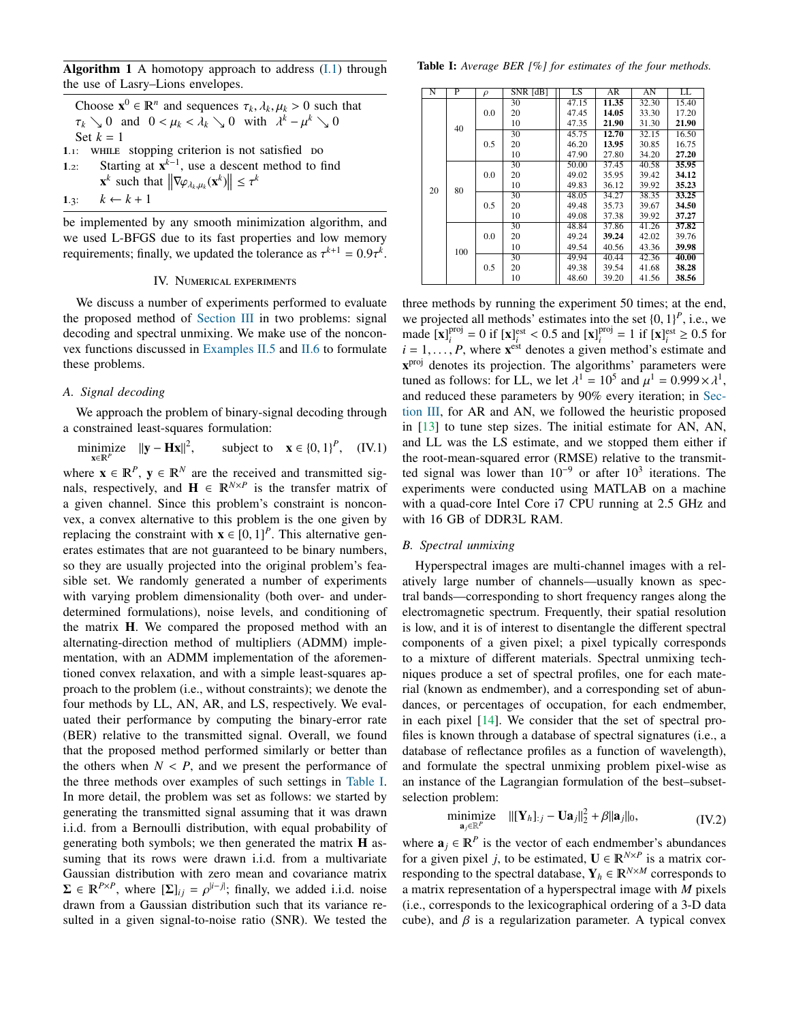<span id="page-3-1"></span>Algorithm 1 A homotopy approach to address  $(I,1)$  through the use of Lasry–Lions envelopes.

- Choose  $\mathbf{x}^0 \in \mathbb{R}^n$  and sequences  $\tau_k, \lambda_k, \mu_k > 0$  such that  $\tau_k > 0$  and  $0 \le \mu_k \le \lambda_k > 0$  with  $\lambda^k \mu^k > 0$  $\tau_k \searrow 0$  and  $0 < \mu_k < \lambda_k \searrow 0$  with  $\lambda^k - \mu^k \searrow 0$ Set  $k = 1$  $1.1$ : WHILE stopping criterion is not satisfied bo
- 1.2: Starting at  $x^{k-1}$ , use a descent method to find
- <span id="page-3-2"></span> $\mathbf{x}^k$  such that  $\left\|\nabla \varphi_{\lambda_k,\mu_k}(\mathbf{x}^k)\right\| \leq \tau^k$

1.3:  $k \leftarrow k + 1$ 

be implemented by any smooth minimization algorithm, and we used L-BFGS due to its fast properties and low memory requirements; finally, we updated the tolerance as  $\tau^{k+1} = 0.9\tau^k$ .

#### IV. Numerical experiments

<span id="page-3-0"></span>We discuss a number of experiments performed to evaluate the proposed method of [Section III](#page-2-0) in two problems: signal decoding and spectral unmixing. We make use of the nonconvex functions discussed in [Examples II.5](#page-2-1) and [II.6](#page-2-2) to formulate these problems.

# *A. Signal decoding*

We approach the problem of binary-signal decoding through a constrained least-squares formulation:

minimize  $||\mathbf{y} - \mathbf{H}\mathbf{x}||^2$ x∈*<sup>P</sup>*  $, \text{ subject to } \mathbf{x} \in \{0, 1\}^P, \text{ (IV.1)}$ 

where  $\mathbf{x} \in \mathbb{R}^P$ ,  $\mathbf{y} \in \mathbb{R}^N$  are the received and transmitted signals, respectively, and  $\mathbf{H} \in \mathbb{R}^{N \times P}$  is the transfer matrix of a given channel. Since this problem's constraint is nonconvex, a convex alternative to this problem is the one given by replacing the constraint with  $\mathbf{x} \in [0, 1]^P$ . This alternative generates estimates that are not quaranteed to be binary numbers erates estimates that are not guaranteed to be binary numbers, so they are usually projected into the original problem's feasible set. We randomly generated a number of experiments with varying problem dimensionality (both over- and underdetermined formulations), noise levels, and conditioning of the matrix H. We compared the proposed method with an alternating-direction method of multipliers (ADMM) implementation, with an ADMM implementation of the aforementioned convex relaxation, and with a simple least-squares approach to the problem (i.e., without constraints); we denote the four methods by LL, AN, AR, and LS, respectively. We evaluated their performance by computing the binary-error rate (BER) relative to the transmitted signal. Overall, we found that the proposed method performed similarly or better than the others when  $N < P$ , and we present the performance of the three methods over examples of such settings in [Table I.](#page-3-3) In more detail, the problem was set as follows: we started by generating the transmitted signal assuming that it was drawn i.i.d. from a Bernoulli distribution, with equal probability of generating both symbols; we then generated the matrix H assuming that its rows were drawn i.i.d. from a multivariate Gaussian distribution with zero mean and covariance matrix  $\Sigma \in \mathbb{R}^{P \times P}$ , where  $[\Sigma]_{ij} = \rho^{|i-j|}$ ; finally, we added i.i.d. noise<br>drawn from a Gaussian distribution such that its variance redrawn from a Gaussian distribution such that its variance resulted in a given signal-to-noise ratio (SNR). We tested the

<span id="page-3-3"></span>

| N  | P   | $\rho$ | SNR [dB] | LS    | AR    | AN    | LL    |
|----|-----|--------|----------|-------|-------|-------|-------|
| 20 | 40  | 0.0    | 30       | 47.15 | 11.35 | 32.30 | 15.40 |
|    |     |        | 20       | 47.45 | 14.05 | 33.30 | 17.20 |
|    |     |        | 10       | 47.35 | 21.90 | 31.30 | 21.90 |
|    |     | 0.5    | 30       | 45.75 | 12.70 | 32.15 | 16.50 |
|    |     |        | 20       | 46.20 | 13.95 | 30.85 | 16.75 |
|    |     |        | 10       | 47.90 | 27.80 | 34.20 | 27.20 |
|    | 80  | 0.0    | 30       | 50.00 | 37.45 | 40.58 | 35.95 |
|    |     |        | 20       | 49.02 | 35.95 | 39.42 | 34.12 |
|    |     |        | 10       | 49.83 | 36.12 | 39.92 | 35.23 |
|    |     | 0.5    | 30       | 48.05 | 34.27 | 38.35 | 33.25 |
|    |     |        | 20       | 49.48 | 35.73 | 39.67 | 34.50 |
|    |     |        | 10       | 49.08 | 37.38 | 39.92 | 37.27 |
|    | 100 | 0.0    | 30       | 48.84 | 37.86 | 41.26 | 37.82 |
|    |     |        | 20       | 49.24 | 39.24 | 42.02 | 39.76 |
|    |     |        | 10       | 49.54 | 40.56 | 43.36 | 39.98 |
|    |     | 0.5    | 30       | 49.94 | 40.44 | 42.36 | 40.00 |
|    |     |        | 20       | 49.38 | 39.54 | 41.68 | 38.28 |
|    |     |        | 10       | 48.60 | 39.20 | 41.56 | 38.56 |

three methods by running the experiment 50 times; at the end, we projected all methods' estimates into the set  $\{0, 1\}^P$ , i.e., we made [x]<sup>proj</sup> – 0 if [x]<sup>eroj</sup> – 0.5 and [x]<sup>proj</sup> – 1 if [x]<sup>est</sup> > 0.5 for made  $\left[\mathbf{x}\right]_i^{\text{proj}}$  $\mathbf{p}^{\text{proj}}$  = 0 if  $[\mathbf{x}]_i^{\text{est}} < 0.5$  and  $[\mathbf{x}]_i^{\text{proj}}$ <br> *P* where  $\mathbf{x}^{\text{est}}$  denotes a given i  $i_i^{\text{proj}} = 1$  if  $[\mathbf{x}]_i^{\text{est}} \geq 0.5$  for  $i$  method's estimate and  $i = 1, \ldots, P$ , where  $\mathbf{x}^{\text{est}}$  denotes a given method's estimate and  $\mathbf{x}^{\text{proj}}$  denotes its projection. The algorithms' parameters were x<sup>proj</sup> denotes its projection. The algorithms' parameters were tuned as follows: for LL, we let  $\lambda^1 = 10^5$  and  $\mu^1 = 0.999 \times \lambda^1$ ,<br>and reduced these parameters by 90% every iteration; in Sec. and reduced these parameters by 90% every iteration; in [Sec](#page-2-0)[tion III,](#page-2-0) for AR and AN, we followed the heuristic proposed in [\[13\]](#page-4-11) to tune step sizes. The initial estimate for AN, AN, and LL was the LS estimate, and we stopped them either if the root-mean-squared error (RMSE) relative to the transmitted signal was lower than  $10^{-9}$  or after  $10^3$  iterations. The experiments were conducted using MATLAB on a machine with a quad-core Intel Core i7 CPU running at 2.5 GHz and with 16 GB of DDR3L RAM.

# *B. Spectral unmixing*

Hyperspectral images are multi-channel images with a relatively large number of channels—usually known as spectral bands—corresponding to short frequency ranges along the electromagnetic spectrum. Frequently, their spatial resolution is low, and it is of interest to disentangle the different spectral components of a given pixel; a pixel typically corresponds to a mixture of different materials. Spectral unmixing techniques produce a set of spectral profiles, one for each material (known as endmember), and a corresponding set of abundances, or percentages of occupation, for each endmember, in each pixel [\[14\]](#page-4-12). We consider that the set of spectral profiles is known through a database of spectral signatures (i.e., a database of reflectance profiles as a function of wavelength), and formulate the spectral unmixing problem pixel-wise as an instance of the Lagrangian formulation of the best–subsetselection problem:

$$
\underset{\mathbf{a}_j \in \mathbb{R}^P}{\text{minimize}} \quad ||[\mathbf{Y}_h]_{:j} - \mathbf{U}\mathbf{a}_j||_2^2 + \beta ||\mathbf{a}_j||_0, \tag{IV.2}
$$

where  $\mathbf{a}_j \in \mathbb{R}^P$  is the vector of each endmember's abundances for a given pixel *j*, to be estimated,  $\mathbf{U} \in \mathbb{R}^{N \times P}$  is a matrix corresponding to the spectral database,  $Y_h \in \mathbb{R}^{N \times M}$  corresponds to a matrix representation of a hyperspectral image with *M* pixels (i.e., corresponds to the lexicographical ordering of a 3-D data cube), and  $\beta$  is a regularization parameter. A typical convex